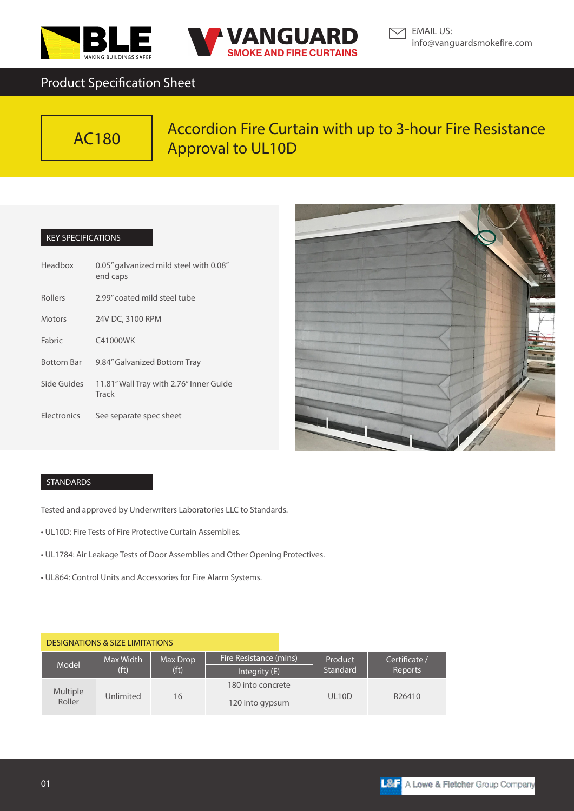



# Product Specification Sheet



# Accordion Fire Curtain with up to 3-hour Fire Resistance Approval to UL10D

### KEY SPECIFICATIONS

| Headbox           | 0.05" galvanized mild steel with 0.08"<br>end caps |  |  |  |
|-------------------|----------------------------------------------------|--|--|--|
| <b>Rollers</b>    | 2.99" coated mild steel tube                       |  |  |  |
| <b>Motors</b>     | 24V DC, 3100 RPM                                   |  |  |  |
| Fabric            | C41000WK                                           |  |  |  |
| <b>Bottom Bar</b> | 9.84" Galvanized Bottom Tray                       |  |  |  |
| Side Guides       | 11.81" Wall Tray with 2.76" Inner Guide<br>Track   |  |  |  |
| Electronics       | See separate spec sheet                            |  |  |  |



## STANDARDS

Tested and approved by Underwriters Laboratories LLC to Standards.

- UL10D: Fire Tests of Fire Protective Curtain Assemblies.
- UL1784: Air Leakage Tests of Door Assemblies and Other Opening Protectives.
- UL864: Control Units and Accessories for Fire Alarm Systems.

| <b>DESIGNATIONS &amp; SIZE LIMITATIONS</b> |                                |                               |                        |                     |                          |
|--------------------------------------------|--------------------------------|-------------------------------|------------------------|---------------------|--------------------------|
| Model                                      | Max Width<br>(f <sub>t</sub> ) | Max Drop<br>(f <sup>t</sup> ) | Fire Resistance (mins) | Product<br>Standard | Certificate /<br>Reports |
|                                            |                                |                               | Integrity (E)          |                     |                          |
| <b>Multiple</b><br>Roller                  | Unlimited                      | 16                            | 180 into concrete      | UL <sub>10</sub> D  | R26410                   |
|                                            |                                |                               | 120 into gypsum        |                     |                          |